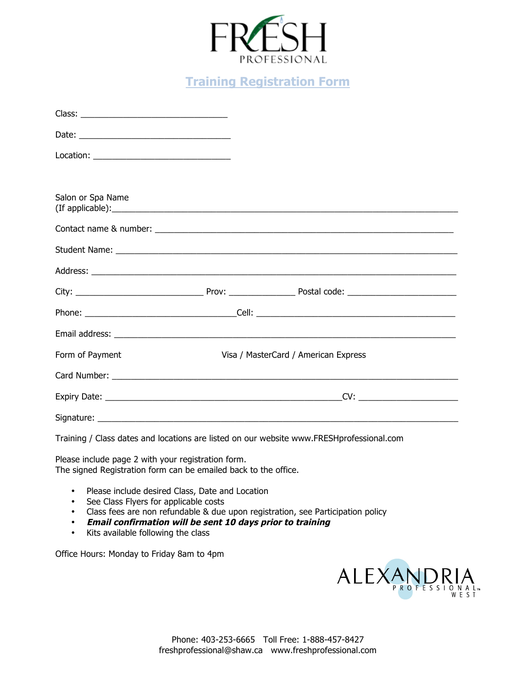

## **Training Registration Form**

| Location: __________________________________ |                                      |  |  |
|----------------------------------------------|--------------------------------------|--|--|
|                                              |                                      |  |  |
| Salon or Spa Name                            |                                      |  |  |
|                                              |                                      |  |  |
|                                              |                                      |  |  |
|                                              |                                      |  |  |
|                                              |                                      |  |  |
|                                              |                                      |  |  |
|                                              |                                      |  |  |
| Form of Payment                              | Visa / MasterCard / American Express |  |  |
|                                              |                                      |  |  |
|                                              | CV:                                  |  |  |
| Signature:                                   |                                      |  |  |

Training / Class dates and locations are listed on our website www.FRESHprofessional.com

Please include page 2 with your registration form. The signed Registration form can be emailed back to the office.

- Please include desired Class, Date and Location
- See Class Flyers for applicable costs
- Class fees are non refundable & due upon registration, see Participation policy
- **Email confirmation will be sent 10 days prior to training**
- Kits available following the class

Office Hours: Monday to Friday 8am to 4pm